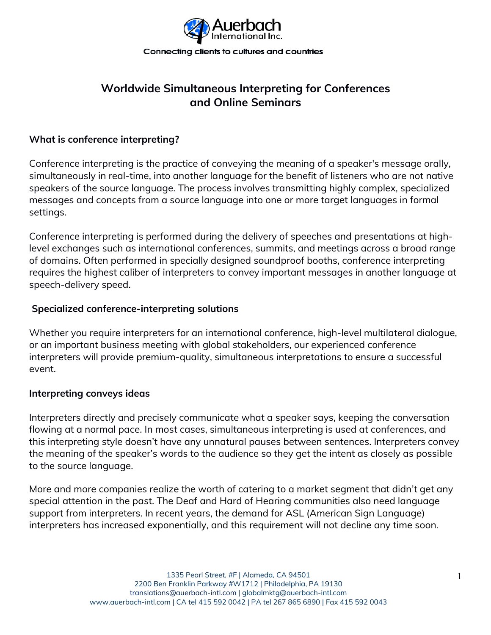

# **Worldwide Simultaneous Interpreting for Conferences and Online Seminars**

## **What is conference interpreting?**

Conference interpreting is the practice of conveying the meaning of a speaker's message orally, simultaneously in real-time, into another language for the benefit of listeners who are not native speakers of the source language. The process involves transmitting highly complex, specialized messages and concepts from a source language into one or more target languages in formal settings.

Conference interpreting is performed during the delivery of speeches and presentations at highlevel exchanges such as international conferences, summits, and meetings across a broad range of domains. Often performed in specially designed soundproof booths, conference interpreting requires the highest caliber of interpreters to convey important messages in another language at speech-delivery speed.

## **Specialized conference-interpreting solutions**

Whether you require interpreters for an international conference, high-level multilateral dialogue, or an important business meeting with global stakeholders, our experienced conference interpreters will provide premium-quality, simultaneous interpretations to ensure a successful event.

#### **Interpreting conveys ideas**

Interpreters directly and precisely communicate what a speaker says, keeping the conversation flowing at a normal pace. In most cases, simultaneous interpreting is used at conferences, and this interpreting style doesn't have any unnatural pauses between sentences. Interpreters convey the meaning of the speaker's words to the audience so they get the intent as closely as possible to the source language.

More and more companies realize the worth of catering to a market segment that didn't get any special attention in the past. The Deaf and Hard of Hearing communities also need language support from interpreters. In recent years, the demand for ASL (American Sign Language) interpreters has increased exponentially, and this requirement will not decline any time soon.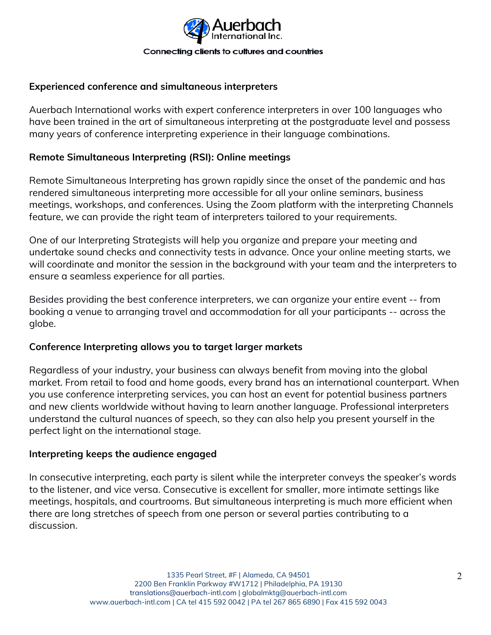

# **Experienced conference and simultaneous interpreters**

Auerbach International works with expert conference interpreters in over 100 languages who have been trained in the art of simultaneous interpreting at the postgraduate level and possess many years of conference interpreting experience in their language combinations.

## **Remote Simultaneous Interpreting (RSI): Online meetings**

Remote Simultaneous Interpreting has grown rapidly since the onset of the pandemic and has rendered simultaneous interpreting more accessible for all your online seminars, business meetings, workshops, and conferences. Using the Zoom platform with the interpreting Channels feature, we can provide the right team of interpreters tailored to your requirements.

One of our Interpreting Strategists will help you organize and prepare your meeting and undertake sound checks and connectivity tests in advance. Once your online meeting starts, we will coordinate and monitor the session in the background with your team and the interpreters to ensure a seamless experience for all parties.

Besides providing the best conference interpreters, we can organize your entire event -- from booking a venue to arranging travel and accommodation for all your participants -- across the globe.

#### **Conference Interpreting allows you to target larger markets**

Regardless of your industry, your business can always benefit from moving into the global market. From retail to food and home goods, every brand has an international counterpart. When you use conference interpreting services, you can host an event for potential business partners and new clients worldwide without having to learn another language. Professional interpreters understand the cultural nuances of speech, so they can also help you present yourself in the perfect light on the international stage.

#### **Interpreting keeps the audience engaged**

In consecutive interpreting, each party is silent while the interpreter conveys the speaker's words to the listener, and vice versa. Consecutive is excellent for smaller, more intimate settings like meetings, hospitals, and courtrooms. But simultaneous interpreting is much more efficient when there are long stretches of speech from one person or several parties contributing to a discussion.